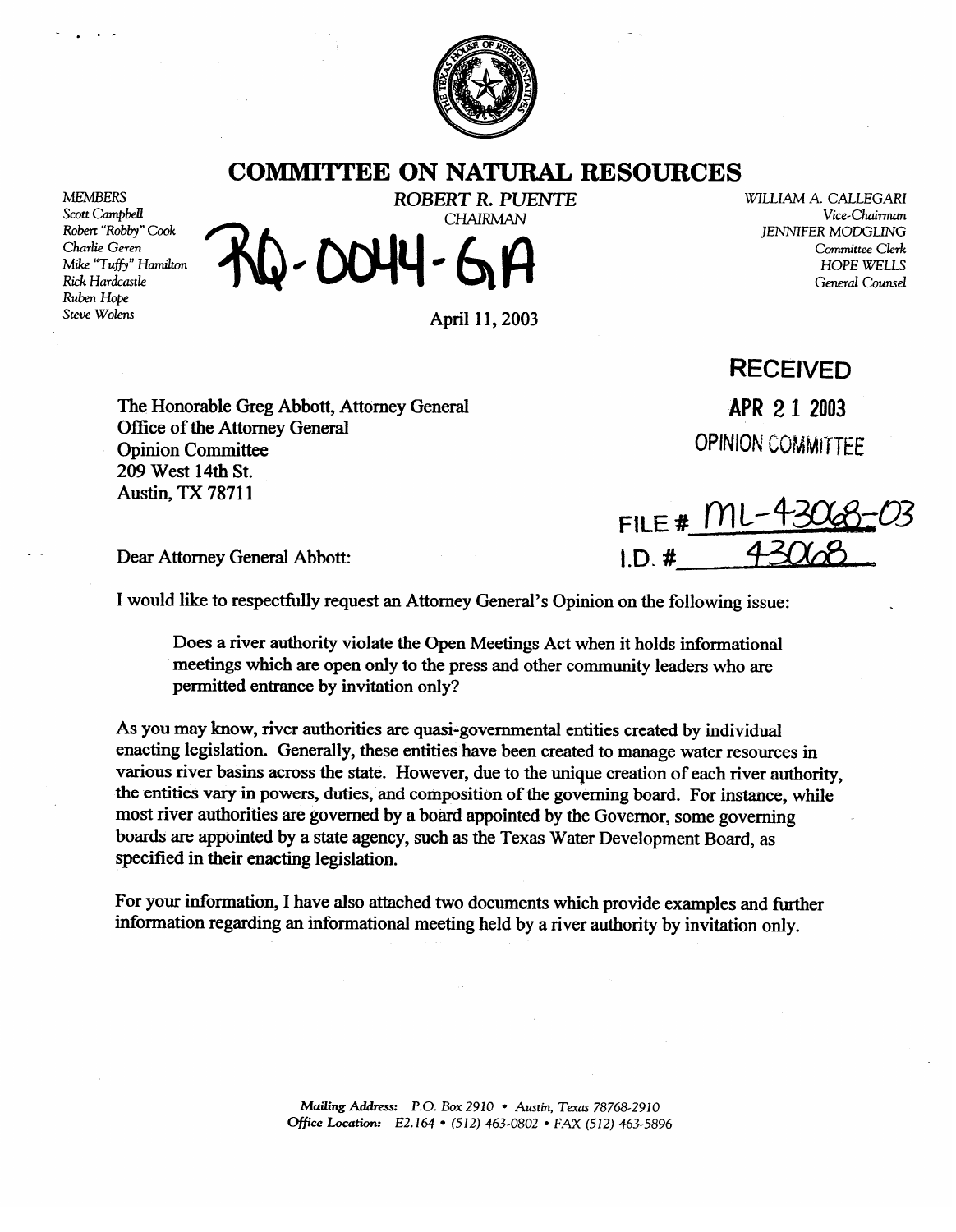

## **COMMITTEE ON NATURAL RESOURCES**

MEMBERS<br>Scott Cambbell Robert "Robby" Cook Charlie Geren Mike "Tuffy" Hamilton Rick Hardcastle **Ruben Hope** Steve Wolens Steve Woleru

**ROBERT R. PUENTE** WILLIAM A. CALLEGARI<br>CHAIRMAN Vice-Chairman

April 11,2003

The Honorable Greg Abbott, Attorney General Office of the Attorney General<br>Opinion Committee 209 West 14th St.  $209 \text{ W}$  St. 1-14th St.<br>Abotive TV 70711 Austin, TA 70711

**RECEIVED**  APR 2 1 2003

*Vice-Chairman* 

Committee Clerk HOPE WELLS *General Counsel* 

**JENNIFER MODGLING** 

**OPINION COMMITTEE** 

**FILE #** <u>I II</u><br>I.D. #

Dear Attorney General Abbott: **I.D. #** 

specified in their enacting legislation.

I would like to respectfully request an Attorney General's Opinion on the following issue: \

Does a river authority violate the Open Meetings Act when it holds informational meetings which are open only to the press and other community leaders who are permitted entrance by invitation only? permitted entrance by invitation only?

As you may know, river authorities are quasi-governmental entities created by individual enacting legislation. Generally, these entities have been created to manage water resources in various river basins across the state. However, due to the unique creation of each river authority, the entities vary in powers, duties, and composition of the governing board. For instance, while most river authorities are governed by a board appointed by the Governor, some governing boards are appointed by a state agency, such as the Texas Water Development Board, as specified in their enacting legislation.

For your information, I have also attached two documents which provide examples and further information regarding an informational meeting held by a river authority by invitation only. information regarding an informational meeting held by a river authority by invitation only.

> Mailing Address: P.O. Box 2910 • Austin, Texas 78768-2910 **Office Location:** E2.164 • (512) 463-0802 • FAX (512) 463-5896